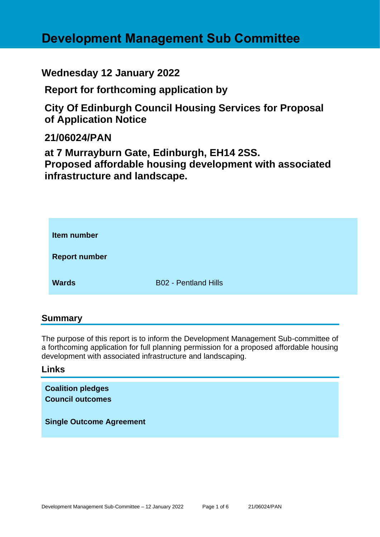# **Development Management Sub Committee**

# **Wednesday 12 January 2022**

**Report for forthcoming application by**

**City Of Edinburgh Council Housing Services for Proposal of Application Notice** 

# **21/06024/PAN**

**at 7 Murrayburn Gate, Edinburgh, EH14 2SS. Proposed affordable housing development with associated infrastructure and landscape.**

| Item number          |                             |
|----------------------|-----------------------------|
| <b>Report number</b> |                             |
| <b>Wards</b>         | <b>B02 - Pentland Hills</b> |

## **Summary**

The purpose of this report is to inform the Development Management Sub-committee of a forthcoming application for full planning permission for a proposed affordable housing development with associated infrastructure and landscaping.

#### **Links**

**Coalition pledges Council outcomes Single Outcome Agreement**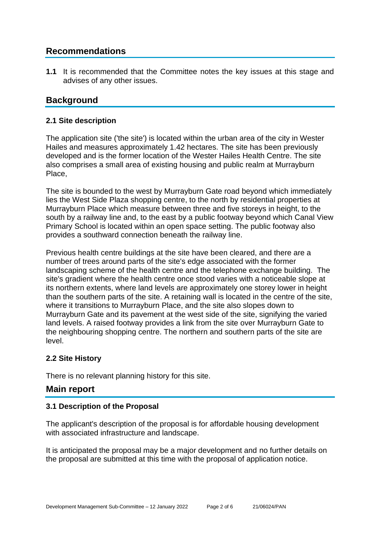# **Recommendations**

**1.1** It is recommended that the Committee notes the key issues at this stage and advises of any other issues.

# **Background**

#### **2.1 Site description**

The application site ('the site') is located within the urban area of the city in Wester Hailes and measures approximately 1.42 hectares. The site has been previously developed and is the former location of the Wester Hailes Health Centre. The site also comprises a small area of existing housing and public realm at Murrayburn Place,

The site is bounded to the west by Murrayburn Gate road beyond which immediately lies the West Side Plaza shopping centre, to the north by residential properties at Murrayburn Place which measure between three and five storeys in height, to the south by a railway line and, to the east by a public footway beyond which Canal View Primary School is located within an open space setting. The public footway also provides a southward connection beneath the railway line.

Previous health centre buildings at the site have been cleared, and there are a number of trees around parts of the site's edge associated with the former landscaping scheme of the health centre and the telephone exchange building. The site's gradient where the health centre once stood varies with a noticeable slope at its northern extents, where land levels are approximately one storey lower in height than the southern parts of the site. A retaining wall is located in the centre of the site, where it transitions to Murrayburn Place, and the site also slopes down to Murrayburn Gate and its pavement at the west side of the site, signifying the varied land levels. A raised footway provides a link from the site over Murrayburn Gate to the neighbouring shopping centre. The northern and southern parts of the site are level.

#### **2.2 Site History**

There is no relevant planning history for this site.

## **Main report**

#### **3.1 Description of the Proposal**

The applicant's description of the proposal is for affordable housing development with associated infrastructure and landscape.

It is anticipated the proposal may be a major development and no further details on the proposal are submitted at this time with the proposal of application notice.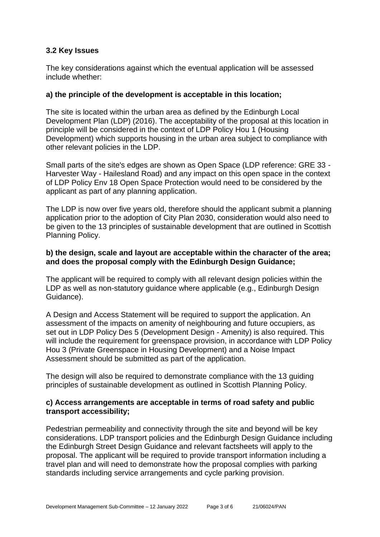#### **3.2 Key Issues**

The key considerations against which the eventual application will be assessed include whether:

#### **a) the principle of the development is acceptable in this location;**

The site is located within the urban area as defined by the Edinburgh Local Development Plan (LDP) (2016). The acceptability of the proposal at this location in principle will be considered in the context of LDP Policy Hou 1 (Housing Development) which supports housing in the urban area subject to compliance with other relevant policies in the LDP.

Small parts of the site's edges are shown as Open Space (LDP reference: GRE 33 - Harvester Way - Hailesland Road) and any impact on this open space in the context of LDP Policy Env 18 Open Space Protection would need to be considered by the applicant as part of any planning application.

The LDP is now over five years old, therefore should the applicant submit a planning application prior to the adoption of City Plan 2030, consideration would also need to be given to the 13 principles of sustainable development that are outlined in Scottish Planning Policy.

#### **b) the design, scale and layout are acceptable within the character of the area; and does the proposal comply with the Edinburgh Design Guidance;**

The applicant will be required to comply with all relevant design policies within the LDP as well as non-statutory guidance where applicable (e.g., Edinburgh Design Guidance).

A Design and Access Statement will be required to support the application. An assessment of the impacts on amenity of neighbouring and future occupiers, as set out in LDP Policy Des 5 (Development Design - Amenity) is also required. This will include the requirement for greenspace provision, in accordance with LDP Policy Hou 3 (Private Greenspace in Housing Development) and a Noise Impact Assessment should be submitted as part of the application.

The design will also be required to demonstrate compliance with the 13 guiding principles of sustainable development as outlined in Scottish Planning Policy.

#### **c) Access arrangements are acceptable in terms of road safety and public transport accessibility;**

Pedestrian permeability and connectivity through the site and beyond will be key considerations. LDP transport policies and the Edinburgh Design Guidance including the Edinburgh Street Design Guidance and relevant factsheets will apply to the proposal. The applicant will be required to provide transport information including a travel plan and will need to demonstrate how the proposal complies with parking standards including service arrangements and cycle parking provision.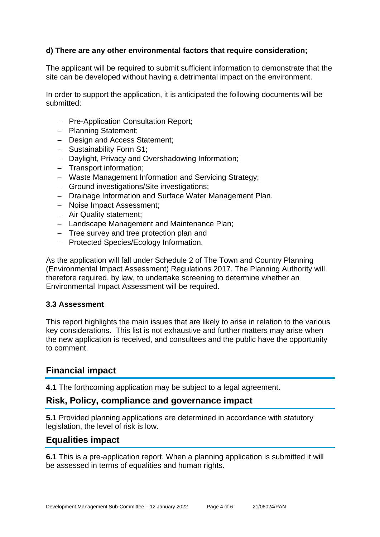#### **d) There are any other environmental factors that require consideration;**

The applicant will be required to submit sufficient information to demonstrate that the site can be developed without having a detrimental impact on the environment.

In order to support the application, it is anticipated the following documents will be submitted:

- − Pre-Application Consultation Report;
- − Planning Statement;
- − Design and Access Statement;
- − Sustainability Form S1;
- − Daylight, Privacy and Overshadowing Information;
- − Transport information;
- − Waste Management Information and Servicing Strategy;
- − Ground investigations/Site investigations;
- − Drainage Information and Surface Water Management Plan.
- − Noise Impact Assessment;
- − Air Quality statement;
- − Landscape Management and Maintenance Plan;
- − Tree survey and tree protection plan and
- − Protected Species/Ecology Information.

As the application will fall under Schedule 2 of The Town and Country Planning (Environmental Impact Assessment) Regulations 2017. The Planning Authority will therefore required, by law, to undertake screening to determine whether an Environmental Impact Assessment will be required.

#### **3.3 Assessment**

This report highlights the main issues that are likely to arise in relation to the various key considerations. This list is not exhaustive and further matters may arise when the new application is received, and consultees and the public have the opportunity to comment.

#### **Financial impact**

**4.1** The forthcoming application may be subject to a legal agreement.

#### **Risk, Policy, compliance and governance impact**

**5.1** Provided planning applications are determined in accordance with statutory legislation, the level of risk is low.

#### **Equalities impact**

**6.1** This is a pre-application report. When a planning application is submitted it will be assessed in terms of equalities and human rights.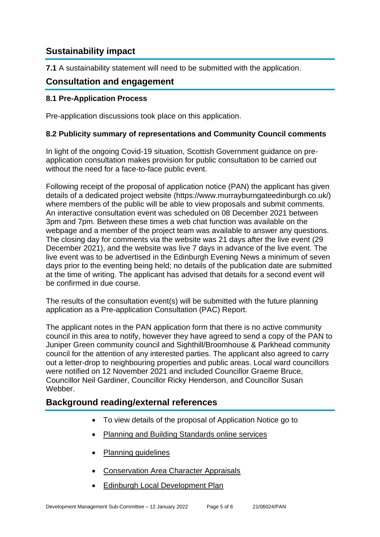# **Sustainability impact**

**7.1** A sustainability statement will need to be submitted with the application.

### **Consultation and engagement**

#### **8.1 Pre-Application Process**

Pre-application discussions took place on this application.

#### **8.2 Publicity summary of representations and Community Council comments**

In light of the ongoing Covid-19 situation, Scottish Government guidance on preapplication consultation makes provision for public consultation to be carried out without the need for a face-to-face public event.

Following receipt of the proposal of application notice (PAN) the applicant has given details of a dedicated project website (https://www.murrayburngateedinburgh.co.uk/) where members of the public will be able to view proposals and submit comments. An interactive consultation event was scheduled on 08 December 2021 between 3pm and 7pm. Between these times a web chat function was available on the webpage and a member of the project team was available to answer any questions. The closing day for comments via the website was 21 days after the live event (29 December 2021), and the website was live 7 days in advance of the live event. The live event was to be advertised in the Edinburgh Evening News a minimum of seven days prior to the eventing being held; no details of the publication date are submitted at the time of writing. The applicant has advised that details for a second event will be confirmed in due course.

The results of the consultation event(s) will be submitted with the future planning application as a Pre-application Consultation (PAC) Report.

The applicant notes in the PAN application form that there is no active community council in this area to notify, however they have agreed to send a copy of the PAN to Juniper Green community council and Sighthill/Broomhouse & Parkhead community council for the attention of any interested parties. The applicant also agreed to carry out a letter-drop to neighbouring properties and public areas. Local ward councillors were notified on 12 November 2021 and included Councillor Graeme Bruce, Councillor Neil Gardiner, Councillor Ricky Henderson, and Councillor Susan Webber.

## **Background reading/external references**

- To view details of the proposal of Application Notice go to
- [Planning and Building Standards online services](https://citydev-portal.edinburgh.gov.uk/idoxpa-web/search.do?action=simple&searchType=Application)
- [Planning guidelines](http://www.edinburgh.gov.uk/planningguidelines)
- [Conservation Area Character Appraisals](http://www.edinburgh.gov.uk/characterappraisals)
- [Edinburgh Local Development Plan](http://www.edinburgh.gov.uk/info/20164/proposed_local_development_plan/66/local_development_plan)